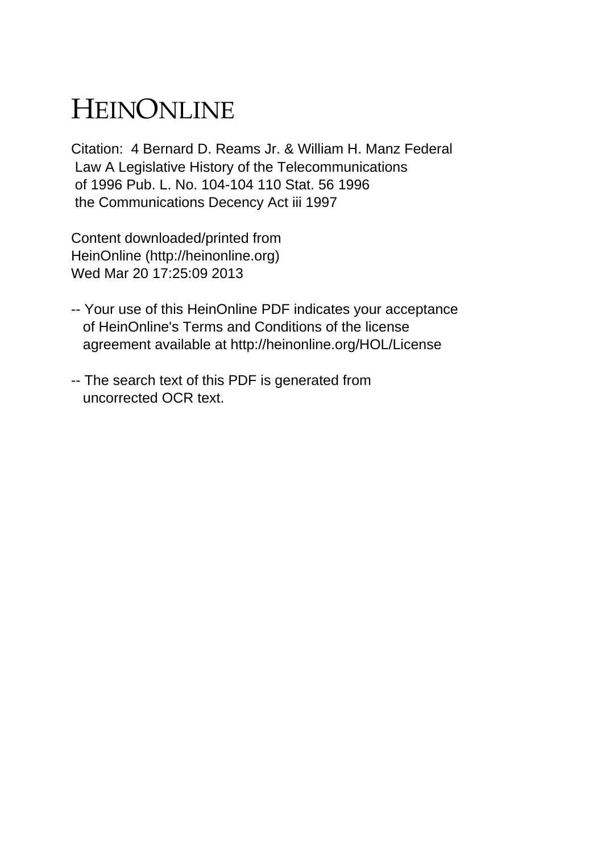## HEINONLINE

Citation: 4 Bernard D. Reams Jr. & William H. Manz Federal Law A Legislative History of the Telecommunications of 1996 Pub. L. No. 104-104 110 Stat. 56 1996 the Communications Decency Act iii 1997

Content downloaded/printed from HeinOnline (http://heinonline.org) Wed Mar 20 17:25:09 2013

- -- Your use of this HeinOnline PDF indicates your acceptance of HeinOnline's Terms and Conditions of the license agreement available at http://heinonline.org/HOL/License
- -- The search text of this PDF is generated from uncorrected OCR text.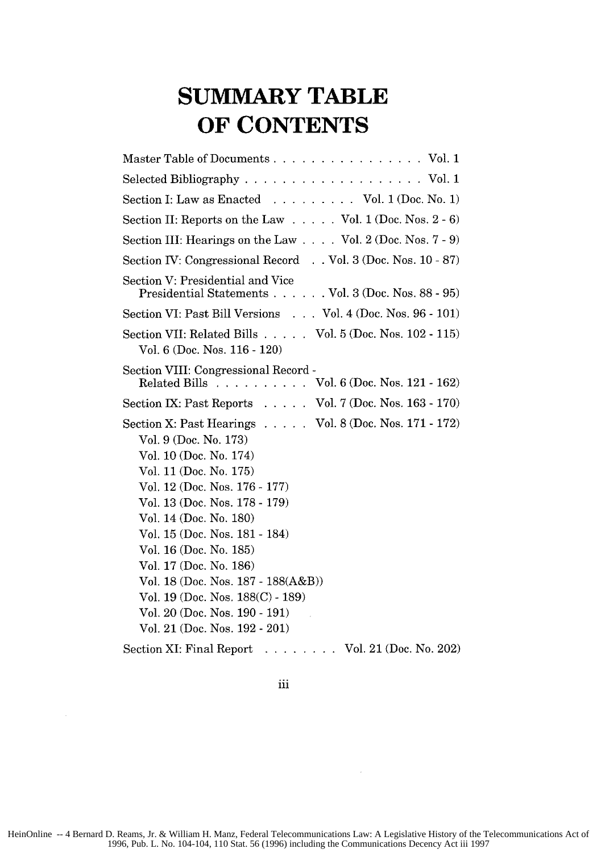## **SUMMARY TABLE OF CONTENTS**

| Master Table of Documents Vol. 1                                                                                                                                                                                                                                                                                                                                                                                                                                           |
|----------------------------------------------------------------------------------------------------------------------------------------------------------------------------------------------------------------------------------------------------------------------------------------------------------------------------------------------------------------------------------------------------------------------------------------------------------------------------|
| Selected Bibliography $\ldots$ $\ldots$ $\ldots$ $\ldots$ $\ldots$ $\ldots$ $\ldots$ Vol. 1                                                                                                                                                                                                                                                                                                                                                                                |
| Section I: Law as Enacted $\ldots \ldots \ldots$ Vol. 1 (Doc. No. 1)                                                                                                                                                                                                                                                                                                                                                                                                       |
| Section II: Reports on the Law $\dots$ . Vol. 1 (Doc. Nos. 2 - 6)                                                                                                                                                                                                                                                                                                                                                                                                          |
| Section III: Hearings on the Law $\ldots$ Vol. 2 (Doc. Nos. 7 - 9)                                                                                                                                                                                                                                                                                                                                                                                                         |
| Section IV: Congressional Record Vol. 3 (Doc. Nos. 10 - 87)                                                                                                                                                                                                                                                                                                                                                                                                                |
| Section V: Presidential and Vice<br>Presidential Statements Vol. 3 (Doc. Nos. 88 - 95)                                                                                                                                                                                                                                                                                                                                                                                     |
| Section VI: Past Bill Versions Vol. 4 (Doc. Nos. 96 - 101)                                                                                                                                                                                                                                                                                                                                                                                                                 |
| Section VII: Related Bills Vol. 5 (Doc. Nos. 102 - 115)<br>Vol. 6 (Doc. Nos. 116 - 120)                                                                                                                                                                                                                                                                                                                                                                                    |
| Section VIII: Congressional Record -<br>Related Bills Vol. 6 (Doc. Nos. 121 - 162)                                                                                                                                                                                                                                                                                                                                                                                         |
| Section IX: Past Reports Vol. 7 (Doc. Nos. 163 - 170)                                                                                                                                                                                                                                                                                                                                                                                                                      |
| Section X: Past Hearings $\ldots$ . Vol. 8 (Doc. Nos. 171 - 172)<br>Vol. 9 (Doc. No. 173)<br>Vol. 10 (Doc. No. 174)<br>Vol. 11 (Doc. No. 175)<br>Vol. 12 (Doc. Nos. 176 - 177)<br>Vol. 13 (Doc. Nos. 178 - 179)<br>Vol. 14 (Doc. No. 180)<br>Vol. 15 (Doc. Nos. 181 - 184)<br>Vol. 16 (Doc. No. 185)<br>Vol. 17 (Doc. No. 186)<br>Vol. 18 (Doc. Nos. 187 - 188(A&B))<br>Vol. 19 (Doc. Nos. 188(C) - 189)<br>Vol. 20 (Doc. Nos. 190 - 191)<br>Vol. 21 (Doc. Nos. 192 - 201) |
| Section XI: Final Report Vol. 21 (Doc. No. 202)                                                                                                                                                                                                                                                                                                                                                                                                                            |

 $\overline{\text{iii}}$ 

 $\mathcal{A}$